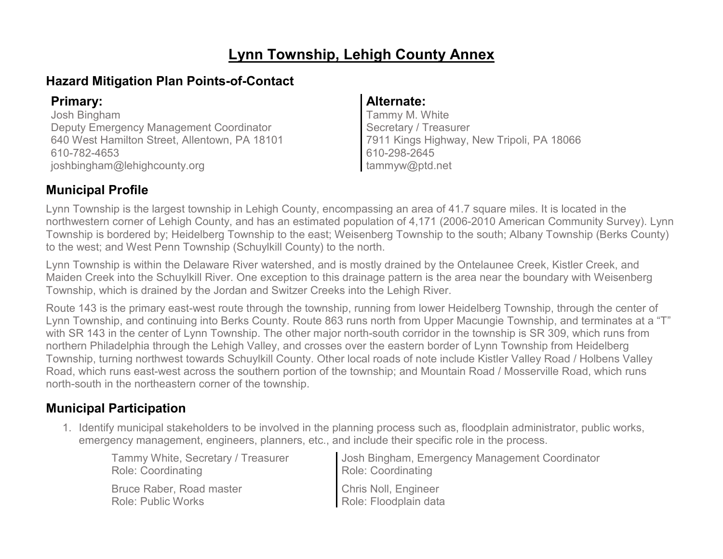# **Lynn Township, Lehigh County Annex**

# **Hazard Mitigation Plan Points-of-Contact**

Josh Bingham Deputy Emergency Management Coordinator 640 West Hamilton Street, Allentown, PA 18101 610-782-4653 joshbingham@lehighcounty.org

### **Primary: Alternate:**

Tammy M. White Secretary / Treasurer 7911 Kings Highway, New Tripoli, PA 18066 610-298-2645 tammyw@ptd.net

### **Municipal Profile**

Lynn Township is the largest township in Lehigh County, encompassing an area of 41.7 square miles. It is located in the northwestern corner of Lehigh County, and has an estimated population of 4,171 (2006-2010 American Community Survey). Lynn Township is bordered by; Heidelberg Township to the east; Weisenberg Township to the south; Albany Township (Berks County) to the west; and West Penn Township (Schuylkill County) to the north.

Lynn Township is within the Delaware River watershed, and is mostly drained by the Ontelaunee Creek, Kistler Creek, and Maiden Creek into the Schuylkill River. One exception to this drainage pattern is the area near the boundary with Weisenberg Township, which is drained by the Jordan and Switzer Creeks into the Lehigh River.

Route 143 is the primary east-west route through the township, running from lower Heidelberg Township, through the center of Lynn Township, and continuing into Berks County. Route 863 runs north from Upper Macungie Township, and terminates at a "T" with SR 143 in the center of Lynn Township. The other major north-south corridor in the township is SR 309, which runs from northern Philadelphia through the Lehigh Valley, and crosses over the eastern border of Lynn Township from Heidelberg Township, turning northwest towards Schuylkill County. Other local roads of note include Kistler Valley Road / Holbens Valley Road, which runs east-west across the southern portion of the township; and Mountain Road / Mosserville Road, which runs north-south in the northeastern corner of the township.

# **Municipal Participation**

1. Identify municipal stakeholders to be involved in the planning process such as, floodplain administrator, public works, emergency management, engineers, planners, etc., and include their specific role in the process.

| Tammy White, Secretary / Treasurer | Josh Bingham, Emergency Management Coordinator |
|------------------------------------|------------------------------------------------|
| <b>Role: Coordinating</b>          | Role: Coordinating                             |
| Bruce Raber, Road master           | <b>Chris Noll, Engineer</b>                    |
| Role: Public Works                 | Role: Floodplain data                          |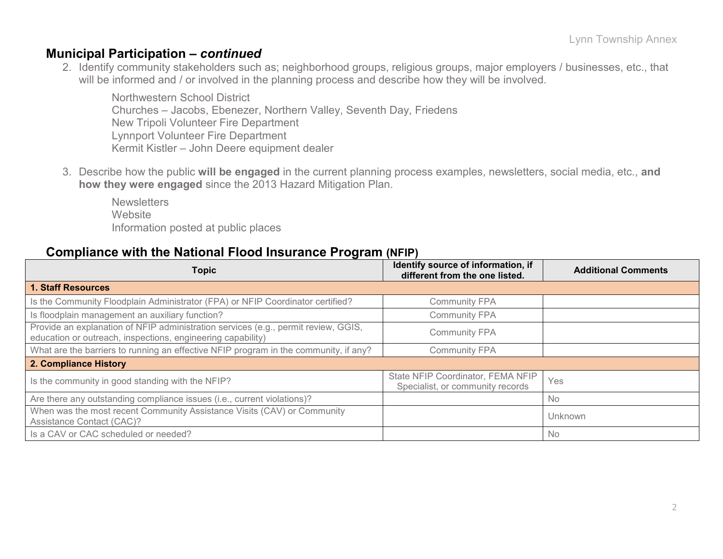### **Municipal Participation –** *continued*

2. Identify community stakeholders such as; neighborhood groups, religious groups, major employers / businesses, etc., that will be informed and / or involved in the planning process and describe how they will be involved.

Northwestern School District Churches – Jacobs, Ebenezer, Northern Valley, Seventh Day, Friedens New Tripoli Volunteer Fire Department Lynnport Volunteer Fire Department Kermit Kistler – John Deere equipment dealer

3. Describe how the public **will be engaged** in the current planning process examples, newsletters, social media, etc., **and how they were engaged** since the 2013 Hazard Mitigation Plan.

**Newsletters Website** Information posted at public places

### **Compliance with the National Flood Insurance Program (NFIP)**

| <b>Topic</b>                                                                                                                                      | Identify source of information, if<br>different from the one listed.  | <b>Additional Comments</b> |  |
|---------------------------------------------------------------------------------------------------------------------------------------------------|-----------------------------------------------------------------------|----------------------------|--|
| <b>1. Staff Resources</b>                                                                                                                         |                                                                       |                            |  |
| Is the Community Floodplain Administrator (FPA) or NFIP Coordinator certified?                                                                    | <b>Community FPA</b>                                                  |                            |  |
| Is floodplain management an auxiliary function?                                                                                                   | <b>Community FPA</b>                                                  |                            |  |
| Provide an explanation of NFIP administration services (e.g., permit review, GGIS,<br>education or outreach, inspections, engineering capability) | <b>Community FPA</b>                                                  |                            |  |
| What are the barriers to running an effective NFIP program in the community, if any?                                                              | <b>Community FPA</b>                                                  |                            |  |
| 2. Compliance History                                                                                                                             |                                                                       |                            |  |
| Is the community in good standing with the NFIP?                                                                                                  | State NFIP Coordinator, FEMA NFIP<br>Specialist, or community records | Yes                        |  |
| Are there any outstanding compliance issues (i.e., current violations)?                                                                           |                                                                       | <b>No</b>                  |  |
| When was the most recent Community Assistance Visits (CAV) or Community<br>Assistance Contact (CAC)?                                              |                                                                       | Unknown                    |  |
| Is a CAV or CAC scheduled or needed?                                                                                                              |                                                                       | <b>No</b>                  |  |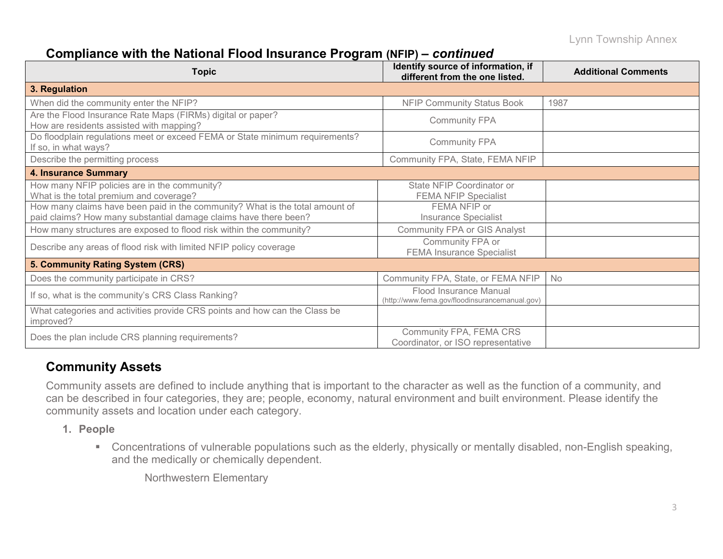# **Compliance with the National Flood Insurance Program (NFIP) –** *continued*

| <b>Topic</b>                                                                                                                                     | Identify source of information, if<br>different from the one listed.     | <b>Additional Comments</b> |  |
|--------------------------------------------------------------------------------------------------------------------------------------------------|--------------------------------------------------------------------------|----------------------------|--|
| 3. Regulation                                                                                                                                    |                                                                          |                            |  |
| When did the community enter the NFIP?                                                                                                           | <b>NFIP Community Status Book</b>                                        | 1987                       |  |
| Are the Flood Insurance Rate Maps (FIRMs) digital or paper?<br>How are residents assisted with mapping?                                          | <b>Community FPA</b>                                                     |                            |  |
| Do floodplain regulations meet or exceed FEMA or State minimum requirements?<br>If so, in what ways?                                             | <b>Community FPA</b>                                                     |                            |  |
| Describe the permitting process                                                                                                                  | Community FPA, State, FEMA NFIP                                          |                            |  |
| <b>4. Insurance Summary</b>                                                                                                                      |                                                                          |                            |  |
| How many NFIP policies are in the community?<br>What is the total premium and coverage?                                                          | State NFIP Coordinator or<br><b>FEMA NFIP Specialist</b>                 |                            |  |
| How many claims have been paid in the community? What is the total amount of<br>paid claims? How many substantial damage claims have there been? | FEMA NFIP or<br><b>Insurance Specialist</b>                              |                            |  |
| How many structures are exposed to flood risk within the community?                                                                              | <b>Community FPA or GIS Analyst</b>                                      |                            |  |
| Describe any areas of flood risk with limited NFIP policy coverage                                                                               | Community FPA or<br><b>FEMA Insurance Specialist</b>                     |                            |  |
| 5. Community Rating System (CRS)                                                                                                                 |                                                                          |                            |  |
| Does the community participate in CRS?                                                                                                           | Community FPA, State, or FEMA NFIP                                       | No                         |  |
| If so, what is the community's CRS Class Ranking?                                                                                                | Flood Insurance Manual<br>(http://www.fema.gov/floodinsurancemanual.gov) |                            |  |
| What categories and activities provide CRS points and how can the Class be<br>improved?                                                          |                                                                          |                            |  |
| Does the plan include CRS planning requirements?                                                                                                 | Community FPA, FEMA CRS<br>Coordinator, or ISO representative            |                            |  |

### **Community Assets**

Community assets are defined to include anything that is important to the character as well as the function of a community, and can be described in four categories, they are; people, economy, natural environment and built environment. Please identify the community assets and location under each category.

- **1. People**
	- Concentrations of vulnerable populations such as the elderly, physically or mentally disabled, non-English speaking, and the medically or chemically dependent.

Northwestern Elementary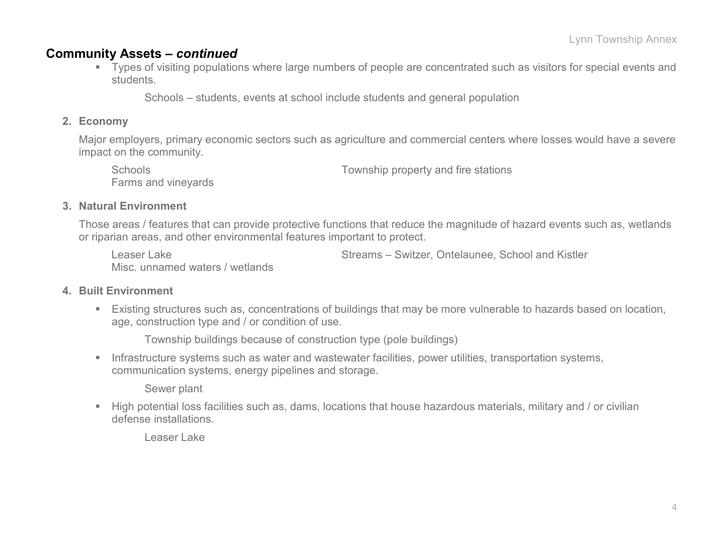### **Community Assets –** *continued*

 Types of visiting populations where large numbers of people are concentrated such as visitors for special events and students.

Schools – students, events at school include students and general population

#### **2. Economy**

Major employers, primary economic sectors such as agriculture and commercial centers where losses would have a severe impact on the community.

Farms and vineyards

Schools **Schools** Township property and fire stations

#### **3. Natural Environment**

Those areas / features that can provide protective functions that reduce the magnitude of hazard events such as, wetlands or riparian areas, and other environmental features important to protect.

Misc. unnamed waters / wetlands

Leaser Lake **Streams – Switzer, Ontelaunee, School and Kistler** School and Kistler

#### **4. Built Environment**

 Existing structures such as, concentrations of buildings that may be more vulnerable to hazards based on location, age, construction type and / or condition of use.

Township buildings because of construction type (pole buildings)

**Infrastructure systems such as water and wastewater facilities, power utilities, transportation systems,** communication systems, energy pipelines and storage.

Sewer plant

 High potential loss facilities such as, dams, locations that house hazardous materials, military and / or civilian defense installations.

Leaser Lake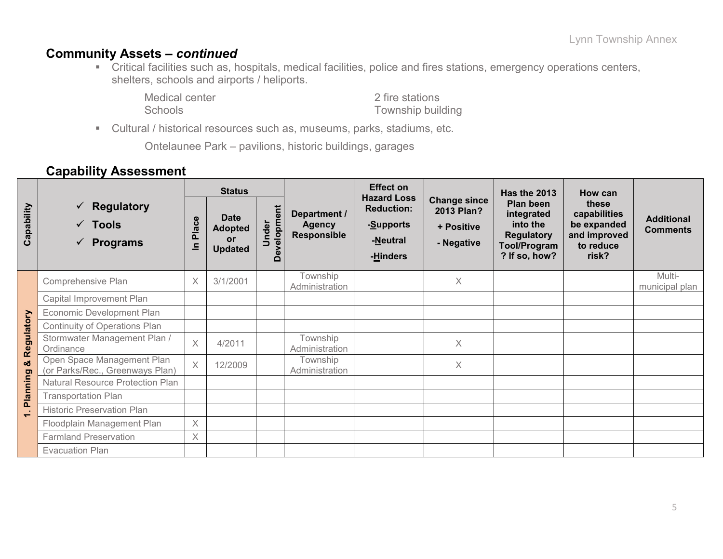### **Community Assets –** *continued*

 Critical facilities such as, hospitals, medical facilities, police and fires stations, emergency operations centers, shelters, schools and airports / heliports.

Medical center 2 fire stations<br>
2 fire stations<br>
2 fire stations<br>
2 fire stations<br>
2 fire stations

Township building

Cultural / historical resources such as, museums, parks, stadiums, etc.

Ontelaunee Park – pavilions, historic buildings, garages

### **Capability Assessment**

|                       |                                                                                  | <b>Status</b>                   |                                                              |                              |                                              | <b>Effect on</b>                                                             |                                                               | <b>Has the 2013</b>                                                                              | How can                                                                    |                                      |  |
|-----------------------|----------------------------------------------------------------------------------|---------------------------------|--------------------------------------------------------------|------------------------------|----------------------------------------------|------------------------------------------------------------------------------|---------------------------------------------------------------|--------------------------------------------------------------------------------------------------|----------------------------------------------------------------------------|--------------------------------------|--|
| Capability            | <b>Regulatory</b><br>$\checkmark$<br>$\checkmark$ Tools<br>$\checkmark$ Programs | ဗီ<br><b>Pla</b><br>$\subseteq$ | <b>Date</b><br><b>Adopted</b><br><b>or</b><br><b>Updated</b> | velopment<br>nder<br>コ<br>قا | Department /<br><b>Agency</b><br>Responsible | <b>Hazard Loss</b><br><b>Reduction:</b><br>-Supports<br>-Neutral<br>-Hinders | <b>Change since</b><br>2013 Plan?<br>+ Positive<br>- Negative | Plan been<br>integrated<br>into the<br><b>Regulatory</b><br><b>Tool/Program</b><br>? If so, how? | these<br>capabilities<br>be expanded<br>and improved<br>to reduce<br>risk? | <b>Additional</b><br><b>Comments</b> |  |
|                       | Comprehensive Plan                                                               | $\times$                        | 3/1/2001                                                     |                              | Township<br>Administration                   |                                                                              | Χ                                                             |                                                                                                  |                                                                            | Multi-<br>municipal plan             |  |
|                       | Capital Improvement Plan                                                         |                                 |                                                              |                              |                                              |                                                                              |                                                               |                                                                                                  |                                                                            |                                      |  |
|                       | Economic Development Plan                                                        |                                 |                                                              |                              |                                              |                                                                              |                                                               |                                                                                                  |                                                                            |                                      |  |
|                       | <b>Continuity of Operations Plan</b>                                             |                                 |                                                              |                              |                                              |                                                                              |                                                               |                                                                                                  |                                                                            |                                      |  |
| Regulatory            | Stormwater Management Plan /<br>Ordinance                                        | $\times$                        | 4/2011                                                       |                              | Township<br>Administration                   |                                                                              | X                                                             |                                                                                                  |                                                                            |                                      |  |
| න්                    | Open Space Management Plan<br>(or Parks/Rec., Greenways Plan)                    | $\times$                        | 12/2009                                                      |                              | Township<br>Administration                   |                                                                              | X.                                                            |                                                                                                  |                                                                            |                                      |  |
|                       | Natural Resource Protection Plan                                                 |                                 |                                                              |                              |                                              |                                                                              |                                                               |                                                                                                  |                                                                            |                                      |  |
| Planning              | <b>Transportation Plan</b>                                                       |                                 |                                                              |                              |                                              |                                                                              |                                                               |                                                                                                  |                                                                            |                                      |  |
| - 1<br>$\blacksquare$ | <b>Historic Preservation Plan</b>                                                |                                 |                                                              |                              |                                              |                                                                              |                                                               |                                                                                                  |                                                                            |                                      |  |
|                       | Floodplain Management Plan                                                       | $\times$                        |                                                              |                              |                                              |                                                                              |                                                               |                                                                                                  |                                                                            |                                      |  |
|                       | <b>Farmland Preservation</b>                                                     | X                               |                                                              |                              |                                              |                                                                              |                                                               |                                                                                                  |                                                                            |                                      |  |
|                       | <b>Evacuation Plan</b>                                                           |                                 |                                                              |                              |                                              |                                                                              |                                                               |                                                                                                  |                                                                            |                                      |  |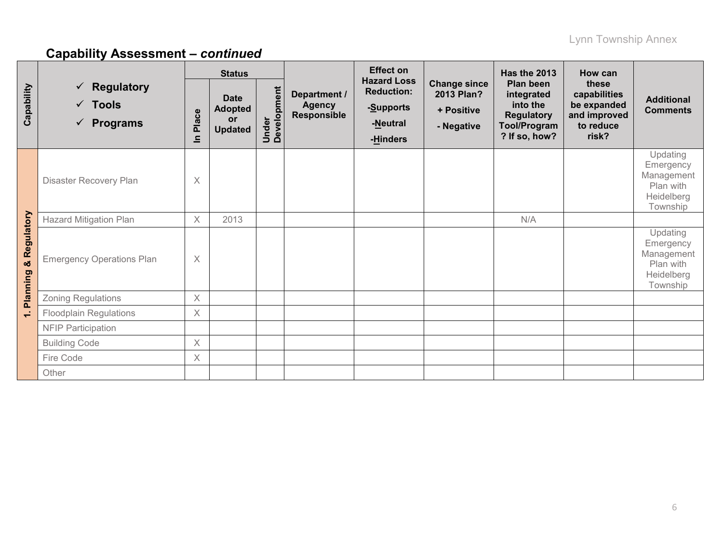|                                    |                                                                        |                         | <b>Status</b>                                         |                      |                                              | <b>Effect on</b>                                                             |                                                               | <b>Has the 2013</b>                                                                       | <b>How can</b>                                                             |                                                                            |
|------------------------------------|------------------------------------------------------------------------|-------------------------|-------------------------------------------------------|----------------------|----------------------------------------------|------------------------------------------------------------------------------|---------------------------------------------------------------|-------------------------------------------------------------------------------------------|----------------------------------------------------------------------------|----------------------------------------------------------------------------|
| Capability                         | $\checkmark$ Regulatory<br>$\checkmark$ Tools<br>$\checkmark$ Programs | Place<br>르              | <b>Date</b><br><b>Adopted</b><br>or<br><b>Updated</b> | Under<br>Development | Department /<br><b>Agency</b><br>Responsible | <b>Hazard Loss</b><br><b>Reduction:</b><br>-Supports<br>-Neutral<br>-Hinders | <b>Change since</b><br>2013 Plan?<br>+ Positive<br>- Negative | Plan been<br>integrated<br>into the<br><b>Regulatory</b><br>Tool/Program<br>? If so, how? | these<br>capabilities<br>be expanded<br>and improved<br>to reduce<br>risk? | <b>Additional</b><br><b>Comments</b>                                       |
|                                    | Disaster Recovery Plan                                                 | $\times$                |                                                       |                      |                                              |                                                                              |                                                               |                                                                                           |                                                                            | Updating<br>Emergency<br>Management<br>Plan with<br>Heidelberg<br>Township |
|                                    | <b>Hazard Mitigation Plan</b>                                          |                         | 2013                                                  |                      |                                              |                                                                              |                                                               | N/A                                                                                       |                                                                            |                                                                            |
| Regulatory<br>×<br><b>Planning</b> | <b>Emergency Operations Plan</b>                                       | $\times$                |                                                       |                      |                                              |                                                                              |                                                               |                                                                                           |                                                                            | Updating<br>Emergency<br>Management<br>Plan with<br>Heidelberg<br>Township |
|                                    | Zoning Regulations                                                     | $\overline{\mathsf{X}}$ |                                                       |                      |                                              |                                                                              |                                                               |                                                                                           |                                                                            |                                                                            |
| $\div$                             | <b>Floodplain Regulations</b>                                          | $\times$                |                                                       |                      |                                              |                                                                              |                                                               |                                                                                           |                                                                            |                                                                            |
|                                    | <b>NFIP Participation</b>                                              |                         |                                                       |                      |                                              |                                                                              |                                                               |                                                                                           |                                                                            |                                                                            |
|                                    | <b>Building Code</b>                                                   | $\times$                |                                                       |                      |                                              |                                                                              |                                                               |                                                                                           |                                                                            |                                                                            |
|                                    | Fire Code                                                              | $\times$                |                                                       |                      |                                              |                                                                              |                                                               |                                                                                           |                                                                            |                                                                            |
|                                    | Other                                                                  |                         |                                                       |                      |                                              |                                                                              |                                                               |                                                                                           |                                                                            |                                                                            |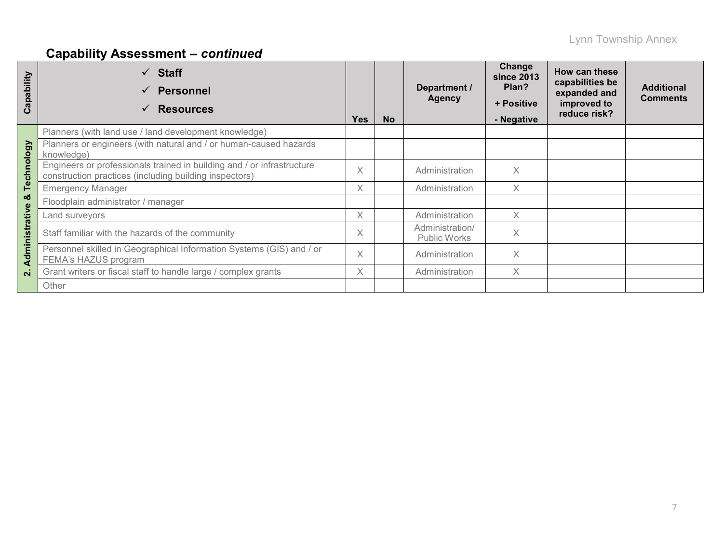| Capability     | <b>Staff</b><br><b>Personnel</b><br><b>Resources</b>                                                                             | <b>Yes</b> | <b>No</b> | Department /<br><b>Agency</b>   | Change<br><b>since 2013</b><br>Plan?<br>+ Positive<br>- Negative | How can these<br>capabilities be<br>expanded and<br>improved to<br>reduce risk? | <b>Additional</b><br><b>Comments</b> |
|----------------|----------------------------------------------------------------------------------------------------------------------------------|------------|-----------|---------------------------------|------------------------------------------------------------------|---------------------------------------------------------------------------------|--------------------------------------|
|                | Planners (with land use / land development knowledge)                                                                            |            |           |                                 |                                                                  |                                                                                 |                                      |
|                | Planners or engineers (with natural and / or human-caused hazards<br>knowledge)                                                  |            |           |                                 |                                                                  |                                                                                 |                                      |
| Technology     | Engineers or professionals trained in building and / or infrastructure<br>construction practices (including building inspectors) | $\times$   |           | Administration                  | X                                                                |                                                                                 |                                      |
|                | <b>Emergency Manager</b>                                                                                                         | Χ          |           | Administration                  | $\times$                                                         |                                                                                 |                                      |
| ×              | Floodplain administrator / manager                                                                                               |            |           |                                 |                                                                  |                                                                                 |                                      |
|                | Land surveyors                                                                                                                   | Χ          |           | Administration                  | X                                                                |                                                                                 |                                      |
|                | Staff familiar with the hazards of the community                                                                                 | X          |           | Administration/<br>Public Works | $\times$                                                         |                                                                                 |                                      |
| Administrative | Personnel skilled in Geographical Information Systems (GIS) and / or<br>FEMA's HAZUS program                                     | $\times$   |           | Administration                  | X                                                                |                                                                                 |                                      |
| $\mathbf{N}$   | Grant writers or fiscal staff to handle large / complex grants                                                                   | X          |           | Administration                  | X                                                                |                                                                                 |                                      |
|                | Other                                                                                                                            |            |           |                                 |                                                                  |                                                                                 |                                      |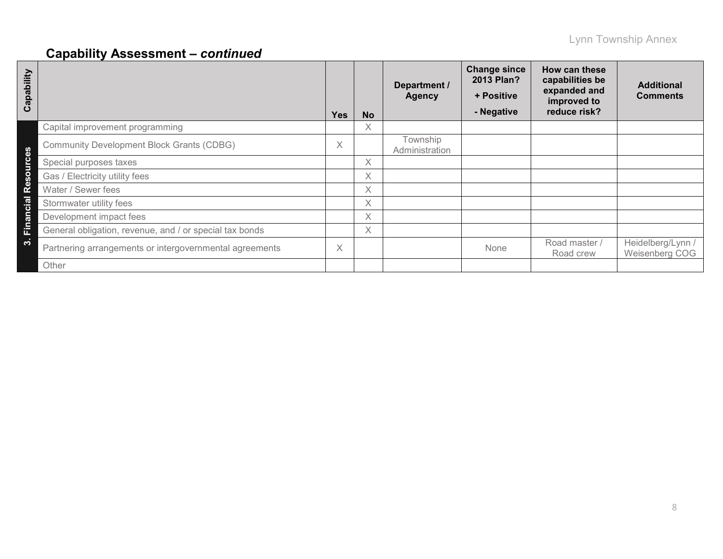| Capability                      |                                                         | <b>Yes</b> | <b>No</b> | Department /<br><b>Agency</b> | <b>Change since</b><br>2013 Plan?<br>+ Positive<br>- Negative | How can these<br>capabilities be<br>expanded and<br>improved to<br>reduce risk? | <b>Additional</b><br><b>Comments</b> |
|---------------------------------|---------------------------------------------------------|------------|-----------|-------------------------------|---------------------------------------------------------------|---------------------------------------------------------------------------------|--------------------------------------|
|                                 | Capital improvement programming                         |            | X         |                               |                                                               |                                                                                 |                                      |
| $\boldsymbol{\omega}$<br>$\Phi$ | <b>Community Development Block Grants (CDBG)</b>        | X          |           | Township<br>Administration    |                                                               |                                                                                 |                                      |
| $\epsilon$<br>š                 | Special purposes taxes                                  |            | X         |                               |                                                               |                                                                                 |                                      |
| $\circ$<br>ഗ                    | Gas / Electricity utility fees                          |            | X         |                               |                                                               |                                                                                 |                                      |
| Φ<br>$\alpha$                   | Water / Sewer fees                                      |            | X         |                               |                                                               |                                                                                 |                                      |
| cial                            | Stormwater utility fees                                 |            | X         |                               |                                                               |                                                                                 |                                      |
|                                 | Development impact fees                                 |            | X         |                               |                                                               |                                                                                 |                                      |
| Finan                           | General obligation, revenue, and / or special tax bonds |            | X         |                               |                                                               |                                                                                 |                                      |
| $\dot{\mathbf{c}}$              | Partnering arrangements or intergovernmental agreements | X          |           |                               | None                                                          | Road master /<br>Road crew                                                      | Heidelberg/Lynn /<br>Weisenberg COG  |
|                                 | Other                                                   |            |           |                               |                                                               |                                                                                 |                                      |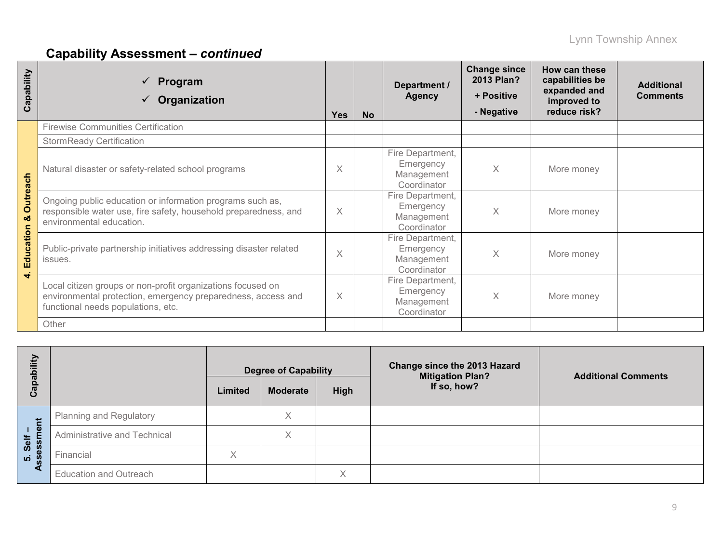| qpability<br>ပ                         | Program<br>$\checkmark$<br>Organization                                                                                                                           | <b>Yes</b>              | <b>No</b> | Department /<br><b>Agency</b>                              | <b>Change since</b><br>2013 Plan?<br>+ Positive<br>- Negative | How can these<br>capabilities be<br>expanded and<br>improved to<br>reduce risk? | <b>Additional</b><br><b>Comments</b> |
|----------------------------------------|-------------------------------------------------------------------------------------------------------------------------------------------------------------------|-------------------------|-----------|------------------------------------------------------------|---------------------------------------------------------------|---------------------------------------------------------------------------------|--------------------------------------|
|                                        | <b>Firewise Communities Certification</b>                                                                                                                         |                         |           |                                                            |                                                               |                                                                                 |                                      |
|                                        | <b>StormReady Certification</b>                                                                                                                                   |                         |           |                                                            |                                                               |                                                                                 |                                      |
| <b>Outreach</b><br>య<br>Education<br>₹ | Natural disaster or safety-related school programs                                                                                                                | X                       |           | Fire Department,<br>Emergency<br>Management<br>Coordinator | Χ                                                             | More money                                                                      |                                      |
|                                        | Ongoing public education or information programs such as,<br>responsible water use, fire safety, household preparedness, and<br>environmental education.          | $\times$                |           | Fire Department,<br>Emergency<br>Management<br>Coordinator | Χ                                                             | More money                                                                      |                                      |
|                                        | Public-private partnership initiatives addressing disaster related<br>issues.                                                                                     | $\overline{\mathsf{X}}$ |           | Fire Department,<br>Emergency<br>Management<br>Coordinator | Χ                                                             | More money                                                                      |                                      |
|                                        | Local citizen groups or non-profit organizations focused on<br>environmental protection, emergency preparedness, access and<br>functional needs populations, etc. |                         |           | Fire Department,<br>Emergency<br>Management<br>Coordinator | Χ                                                             | More money                                                                      |                                      |
|                                        | Other                                                                                                                                                             |                         |           |                                                            |                                                               |                                                                                 |                                      |

| Ξ<br>Capabi                      | <b>Degree of Capability</b>    |                   |                 |                   |  |  | <b>Change since the 2013 Hazard</b><br><b>Mitigation Plan?</b><br>If so, how? | <b>Additional Comments</b> |
|----------------------------------|--------------------------------|-------------------|-----------------|-------------------|--|--|-------------------------------------------------------------------------------|----------------------------|
|                                  |                                | Limited           | <b>Moderate</b> | High              |  |  |                                                                               |                            |
|                                  | <b>Planning and Regulatory</b> |                   | X               |                   |  |  |                                                                               |                            |
| $\overline{\mathbf{0}}$<br>Self  | Administrative and Technical   |                   | Χ               |                   |  |  |                                                                               |                            |
| ဖွဲ့<br>$\overline{\mathbf{10}}$ | Financial                      | $\checkmark$<br>∧ |                 |                   |  |  |                                                                               |                            |
|                                  | <b>Education and Outreach</b>  |                   |                 | $\checkmark$<br>⋏ |  |  |                                                                               |                            |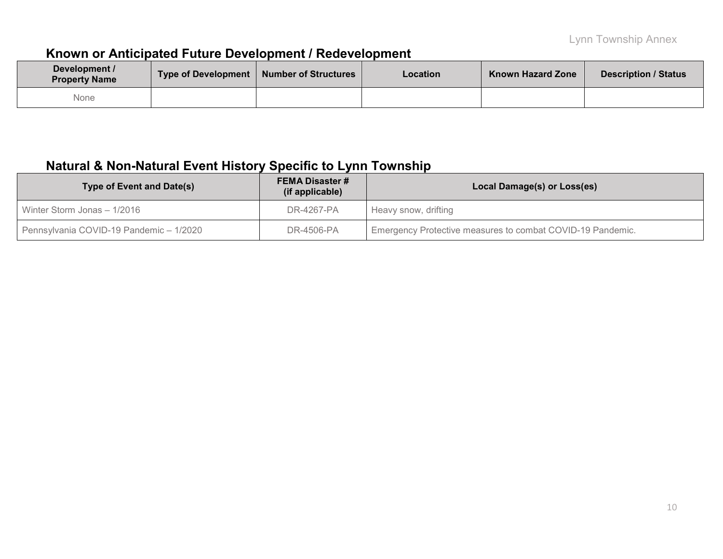# **Known or Anticipated Future Development / Redevelopment**

| Development /<br><b>Property Name</b> | Type of Development   Number of Structures | <b>Location</b> | <b>Known Hazard Zone</b> | Description / Status |
|---------------------------------------|--------------------------------------------|-----------------|--------------------------|----------------------|
| None                                  |                                            |                 |                          |                      |

# **Natural & Non-Natural Event History Specific to Lynn Township**

| <b>Type of Event and Date(s)</b>        | <b>FEMA Disaster #</b><br>(if applicable) | Local Damage(s) or Loss(es)                                |
|-----------------------------------------|-------------------------------------------|------------------------------------------------------------|
| Winter Storm Jonas - 1/2016             | DR-4267-PA                                | Heavy snow, drifting                                       |
| Pennsylvania COVID-19 Pandemic - 1/2020 | DR-4506-PA                                | Emergency Protective measures to combat COVID-19 Pandemic. |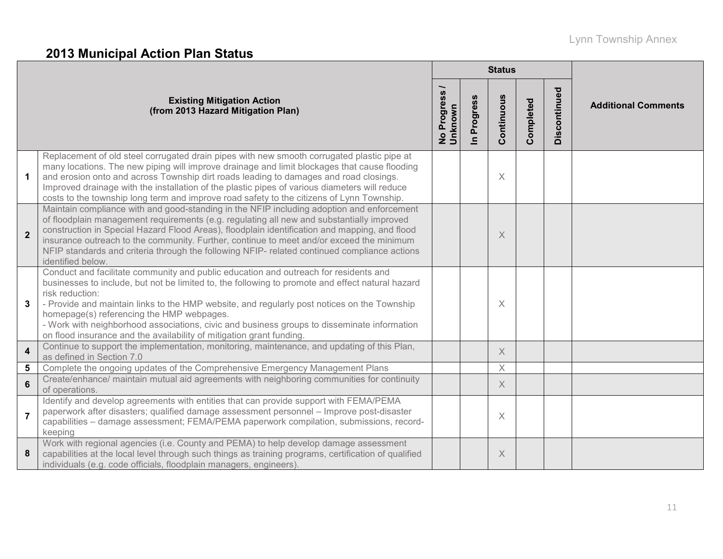# Lynn Township Annex

# **2013 Municipal Action Plan Status**

|                         |                                                                                                                                                                                                                                                                                                                                                                                                                                                                                                                                |                          |                          | <b>Status</b>         |           |              |                            |
|-------------------------|--------------------------------------------------------------------------------------------------------------------------------------------------------------------------------------------------------------------------------------------------------------------------------------------------------------------------------------------------------------------------------------------------------------------------------------------------------------------------------------------------------------------------------|--------------------------|--------------------------|-----------------------|-----------|--------------|----------------------------|
|                         | <b>Existing Mitigation Action</b><br>(from 2013 Hazard Mitigation Plan)                                                                                                                                                                                                                                                                                                                                                                                                                                                        | No Progress /<br>Unknown | Progress<br>$\mathbf{a}$ | Continuous            | Completed | Discontinued | <b>Additional Comments</b> |
| $\mathbf 1$             | Replacement of old steel corrugated drain pipes with new smooth corrugated plastic pipe at<br>many locations. The new piping will improve drainage and limit blockages that cause flooding<br>and erosion onto and across Township dirt roads leading to damages and road closings.<br>Improved drainage with the installation of the plastic pipes of various diameters will reduce<br>costs to the township long term and improve road safety to the citizens of Lynn Township.                                              |                          |                          | $\times$              |           |              |                            |
| $\overline{\mathbf{2}}$ | Maintain compliance with and good-standing in the NFIP including adoption and enforcement<br>of floodplain management requirements (e.g. regulating all new and substantially improved<br>construction in Special Hazard Flood Areas), floodplain identification and mapping, and flood<br>insurance outreach to the community. Further, continue to meet and/or exceed the minimum<br>NFIP standards and criteria through the following NFIP- related continued compliance actions<br>identified below.                       |                          |                          | X                     |           |              |                            |
| 3                       | Conduct and facilitate community and public education and outreach for residents and<br>businesses to include, but not be limited to, the following to promote and effect natural hazard<br>risk reduction:<br>- Provide and maintain links to the HMP website, and regularly post notices on the Township<br>homepage(s) referencing the HMP webpages.<br>- Work with neighborhood associations, civic and business groups to disseminate information<br>on flood insurance and the availability of mitigation grant funding. |                          |                          | X                     |           |              |                            |
| $\overline{\mathbf{4}}$ | Continue to support the implementation, monitoring, maintenance, and updating of this Plan,<br>as defined in Section 7.0                                                                                                                                                                                                                                                                                                                                                                                                       |                          |                          | $\times$              |           |              |                            |
| 5                       | Complete the ongoing updates of the Comprehensive Emergency Management Plans                                                                                                                                                                                                                                                                                                                                                                                                                                                   |                          |                          | $\boldsymbol{\times}$ |           |              |                            |
| $6\phantom{a}$          | Create/enhance/ maintain mutual aid agreements with neighboring communities for continuity<br>of operations.                                                                                                                                                                                                                                                                                                                                                                                                                   |                          |                          | $\times$              |           |              |                            |
| $\overline{7}$          | Identify and develop agreements with entities that can provide support with FEMA/PEMA<br>paperwork after disasters; qualified damage assessment personnel - Improve post-disaster<br>capabilities - damage assessment; FEMA/PEMA paperwork compilation, submissions, record-<br>keeping                                                                                                                                                                                                                                        |                          |                          | $\times$              |           |              |                            |
| 8                       | Work with regional agencies (i.e. County and PEMA) to help develop damage assessment<br>capabilities at the local level through such things as training programs, certification of qualified<br>individuals (e.g. code officials, floodplain managers, engineers).                                                                                                                                                                                                                                                             |                          |                          | X                     |           |              |                            |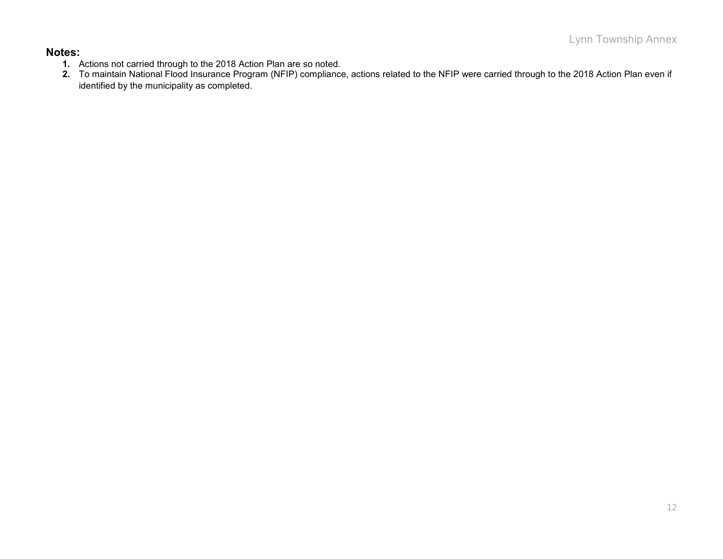#### **Notes:**

- **1.** Actions not carried through to the 2018 Action Plan are so noted.
- **2.** To maintain National Flood Insurance Program (NFIP) compliance, actions related to the NFIP were carried through to the 2018 Action Plan even if identified by the municipality as completed.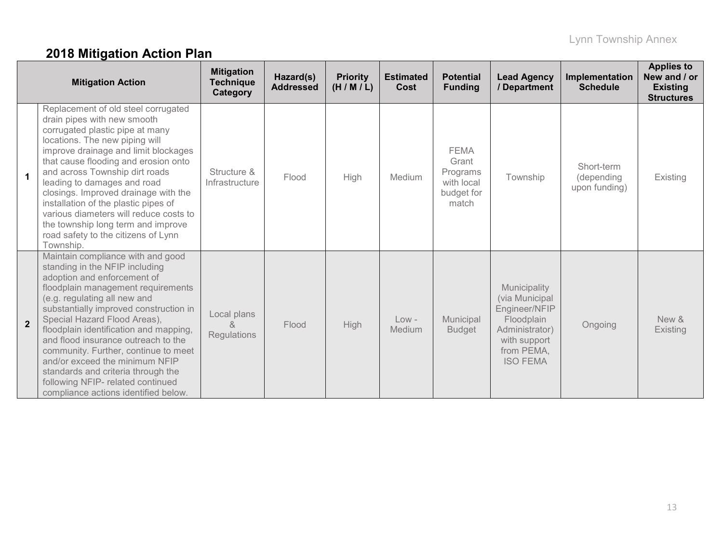# **2018 Mitigation Action Plan**

| <b>Mitigation Action</b> |                                                                                                                                                                                                                                                                                                                                                                                                                                                                                                                                  | <b>Mitigation</b><br><b>Technique</b><br>Category        | Hazard(s)<br><b>Addressed</b> | <b>Priority</b><br>(H/M/L) | <b>Estimated</b><br>Cost | <b>Potential</b><br><b>Funding</b>                                    | <b>Lead Agency</b><br>/ Department                                                                                               | Implementation<br><b>Schedule</b>         | <b>Applies to</b><br>New and / or<br><b>Existing</b><br><b>Structures</b> |
|--------------------------|----------------------------------------------------------------------------------------------------------------------------------------------------------------------------------------------------------------------------------------------------------------------------------------------------------------------------------------------------------------------------------------------------------------------------------------------------------------------------------------------------------------------------------|----------------------------------------------------------|-------------------------------|----------------------------|--------------------------|-----------------------------------------------------------------------|----------------------------------------------------------------------------------------------------------------------------------|-------------------------------------------|---------------------------------------------------------------------------|
| $\blacktriangleleft$     | Replacement of old steel corrugated<br>drain pipes with new smooth<br>corrugated plastic pipe at many<br>locations. The new piping will<br>improve drainage and limit blockages<br>that cause flooding and erosion onto<br>and across Township dirt roads<br>leading to damages and road<br>closings. Improved drainage with the<br>installation of the plastic pipes of<br>various diameters will reduce costs to<br>the township long term and improve<br>road safety to the citizens of Lynn<br>Township.                     | Structure &<br>Infrastructure                            | Flood                         | High                       | Medium                   | <b>FEMA</b><br>Grant<br>Programs<br>with local<br>budget for<br>match | Township                                                                                                                         | Short-term<br>(depending<br>upon funding) | Existing                                                                  |
| $\overline{2}$           | Maintain compliance with and good<br>standing in the NFIP including<br>adoption and enforcement of<br>floodplain management requirements<br>(e.g. regulating all new and<br>substantially improved construction in<br>Special Hazard Flood Areas),<br>floodplain identification and mapping,<br>and flood insurance outreach to the<br>community. Further, continue to meet<br>and/or exceed the minimum NFIP<br>standards and criteria through the<br>following NFIP- related continued<br>compliance actions identified below. | Local plans<br>$\mathcal{R}_{\mathbf{z}}$<br>Regulations | Flood                         | High                       | $Low -$<br>Medium        | Municipal<br><b>Budget</b>                                            | Municipality<br>(via Municipal<br>Engineer/NFIP<br>Floodplain<br>Administrator)<br>with support<br>from PEMA,<br><b>ISO FEMA</b> | Ongoing                                   | New &<br>Existing                                                         |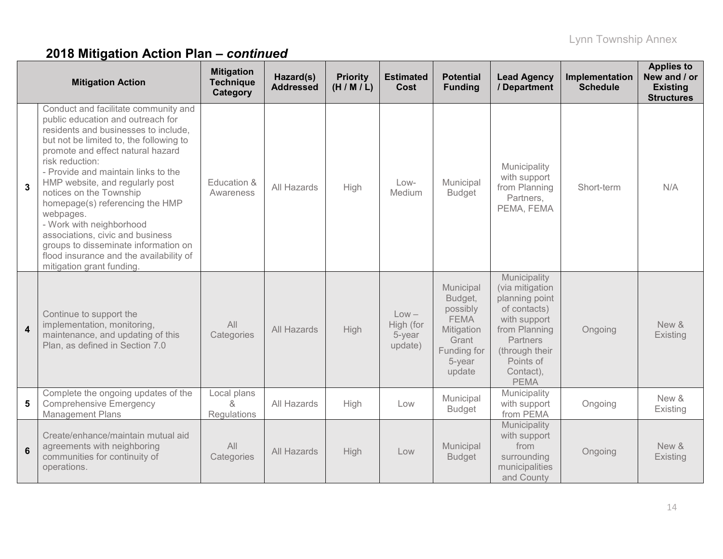# **2018 Mitigation Action Plan –** *continued*

| <b>Mitigation Action</b> |                                                                                                                                                                                                                                                                                                                                                                                                                                                                                                                                                           | <b>Mitigation</b><br><b>Technique</b><br>Category | Hazard(s)<br><b>Addressed</b> | <b>Priority</b><br>(H/M/L) | <b>Estimated</b><br>Cost                  | <b>Potential</b><br><b>Funding</b>                                                                        | <b>Lead Agency</b><br>/ Department                                                                                                                                        | Implementation<br><b>Schedule</b> | <b>Applies to</b><br>New and / or<br><b>Existing</b><br><b>Structures</b> |
|--------------------------|-----------------------------------------------------------------------------------------------------------------------------------------------------------------------------------------------------------------------------------------------------------------------------------------------------------------------------------------------------------------------------------------------------------------------------------------------------------------------------------------------------------------------------------------------------------|---------------------------------------------------|-------------------------------|----------------------------|-------------------------------------------|-----------------------------------------------------------------------------------------------------------|---------------------------------------------------------------------------------------------------------------------------------------------------------------------------|-----------------------------------|---------------------------------------------------------------------------|
| 3                        | Conduct and facilitate community and<br>public education and outreach for<br>residents and businesses to include,<br>but not be limited to, the following to<br>promote and effect natural hazard<br>risk reduction:<br>- Provide and maintain links to the<br>HMP website, and regularly post<br>notices on the Township<br>homepage(s) referencing the HMP<br>webpages.<br>- Work with neighborhood<br>associations, civic and business<br>groups to disseminate information on<br>flood insurance and the availability of<br>mitigation grant funding. | Education &<br>Awareness                          | All Hazards                   | <b>High</b>                | Low-<br>Medium                            | Municipal<br><b>Budget</b>                                                                                | Municipality<br>with support<br>from Planning<br>Partners,<br>PEMA, FEMA                                                                                                  | Short-term                        | N/A                                                                       |
| $\boldsymbol{4}$         | Continue to support the<br>implementation, monitoring,<br>maintenance, and updating of this<br>Plan, as defined in Section 7.0                                                                                                                                                                                                                                                                                                                                                                                                                            | All<br>Categories                                 | All Hazards                   | High                       | $Low -$<br>High (for<br>5-year<br>update) | Municipal<br>Budget,<br>possibly<br><b>FEMA</b><br>Mitigation<br>Grant<br>Funding for<br>5-year<br>update | Municipality<br>(via mitigation<br>planning point<br>of contacts)<br>with support<br>from Planning<br>Partners<br>(through their<br>Points of<br>Contact),<br><b>PEMA</b> | Ongoing                           | New &<br>Existing                                                         |
| 5                        | Complete the ongoing updates of the<br><b>Comprehensive Emergency</b><br><b>Management Plans</b>                                                                                                                                                                                                                                                                                                                                                                                                                                                          | Local plans<br>$\kappa$<br>Regulations            | All Hazards                   | High                       | Low                                       | Municipal<br><b>Budget</b>                                                                                | Municipality<br>with support<br>from PEMA                                                                                                                                 | Ongoing                           | New &<br>Existing                                                         |
| 6                        | Create/enhance/maintain mutual aid<br>agreements with neighboring<br>communities for continuity of<br>operations.                                                                                                                                                                                                                                                                                                                                                                                                                                         | All<br>Categories                                 | All Hazards                   | High                       | Low                                       | Municipal<br><b>Budget</b>                                                                                | Municipality<br>with support<br>from<br>surrounding<br>municipalities<br>and County                                                                                       | Ongoing                           | New &<br>Existing                                                         |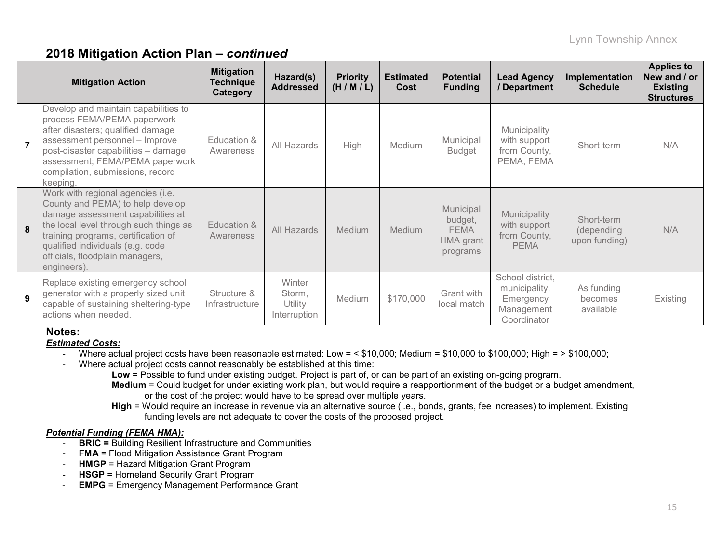### **2018 Mitigation Action Plan –** *continued*

| <b>Mitigation Action</b> |                                                                                                                                                                                                                                                                                   | <b>Mitigation</b><br><b>Technique</b><br>Category | Hazard(s)<br><b>Addressed</b>               | <b>Priority</b><br>(H/M/L) | <b>Estimated</b><br>Cost | <b>Potential</b><br><b>Funding</b>                           | <b>Lead Agency</b><br>/ Department                                          | Implementation<br><b>Schedule</b>         | <b>Applies to</b><br>New and / or<br><b>Existing</b><br><b>Structures</b> |
|--------------------------|-----------------------------------------------------------------------------------------------------------------------------------------------------------------------------------------------------------------------------------------------------------------------------------|---------------------------------------------------|---------------------------------------------|----------------------------|--------------------------|--------------------------------------------------------------|-----------------------------------------------------------------------------|-------------------------------------------|---------------------------------------------------------------------------|
| $\overline{7}$           | Develop and maintain capabilities to<br>process FEMA/PEMA paperwork<br>after disasters; qualified damage<br>assessment personnel - Improve<br>post-disaster capabilities - damage<br>assessment; FEMA/PEMA paperwork<br>compilation, submissions, record<br>keeping.              | Education &<br>Awareness                          | All Hazards                                 | High                       | Medium                   | Municipal<br><b>Budget</b>                                   | Municipality<br>with support<br>from County,<br>PEMA, FEMA                  | Short-term                                | N/A                                                                       |
| 8                        | Work with regional agencies (i.e.<br>County and PEMA) to help develop<br>damage assessment capabilities at<br>the local level through such things as<br>training programs, certification of<br>qualified individuals (e.g. code<br>officials, floodplain managers,<br>engineers). | Education &<br>Awareness                          | All Hazards                                 | Medium                     | <b>Medium</b>            | Municipal<br>budget,<br><b>FEMA</b><br>HMA grant<br>programs | Municipality<br>with support<br>from County,<br><b>PEMA</b>                 | Short-term<br>(depending<br>upon funding) | N/A                                                                       |
| 9                        | Replace existing emergency school<br>generator with a properly sized unit<br>capable of sustaining sheltering-type<br>actions when needed.                                                                                                                                        | Structure &<br>Infrastructure                     | Winter<br>Storm,<br>Utility<br>Interruption | Medium                     | \$170,000                | Grant with<br>local match                                    | School district,<br>municipality,<br>Emergency<br>Management<br>Coordinator | As funding<br>becomes<br>available        | Existing                                                                  |

### **Notes:**

*Estimated Costs:*

- Where actual project costs have been reasonable estimated: Low = < \$10,000; Medium = \$10,000 to \$100,000; High = > \$100,000;
- Where actual project costs cannot reasonably be established at this time:

**Low** = Possible to fund under existing budget. Project is part of, or can be part of an existing on-going program.

- **Medium** = Could budget for under existing work plan, but would require a reapportionment of the budget or a budget amendment, or the cost of the project would have to be spread over multiple years.
- **High** = Would require an increase in revenue via an alternative source (i.e., bonds, grants, fee increases) to implement. Existing funding levels are not adequate to cover the costs of the proposed project.

#### *Potential Funding (FEMA HMA):*

- **BRIC =** Building Resilient Infrastructure and Communities
- **FMA** = Flood Mitigation Assistance Grant Program
- **HMGP** = Hazard Mitigation Grant Program
- **HSGP** = Homeland Security Grant Program
- **EMPG** = Emergency Management Performance Grant